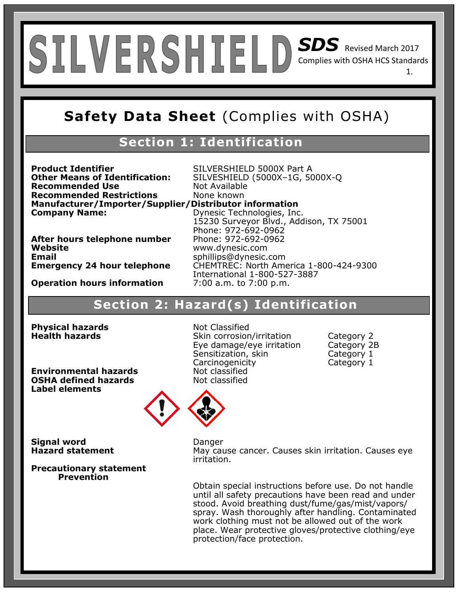## *SDS* Revised March 2017 Complies with OSHA HCS Standards 1.

## **Safety Data Sheet** (Complies with OSHA)

## **Section 1: Identification**

**Product Identifier** SILVERSHIELD 5000X Part A<br>**Other Means of Identification:** SILVESHIELD (5000X-1G, 50 **Recommended Use** Not Available **Recommended Restrictions** None known **Manufacturer/Importer/Supplier/Distributor information Company Name:** Dynesic Technologies, Inc.

**Other Means of Identification:** SILVESHIELD (5000X–1G, 5000X-Q 15230 Surveyor Blvd., Addison, TX 75001 Phone: 972-692-0962 **Emergency 24 hour telephone** CHEMTREC: North America 1-800-424-9300 International 1-800-527-3887

**Website** www.dynesic.com **Email** sphillips@dynesic.com<br>**Emergency 24 hour telephone** CHEMTREC: North Ame

**After hours telephone number** 

**Operation hours information** 7:00 a.m. to 7:00 p.m.

## **Section 2: Hazard(s) Identification**

**Physical hazards Not Classified** 

**Environmental hazards Not classified**<br> **OSHA defined hazards Not classified OSHA defined hazards Label elements**

**Health hazards Skin corrosion/irritation** Category 2 Eye damage/eye irritation Category 2B Sensitization, skin Category 1 Carcinogenicity Category 1



**Signal word Danger** 

**Precautionary statement Prevention** 

**Hazard statement May cause cancer. Causes skin irritation. Causes eve** irritation.

> Obtain special instructions before use. Do not handle until all safety precautions have been read and under stood. Avoid breathing dust/fume/gas/mist/vapors/ spray. Wash thoroughly after handling. Contaminated work clothing must not be allowed out of the work place. Wear protective gloves/protective clothing/eye protection/face protection.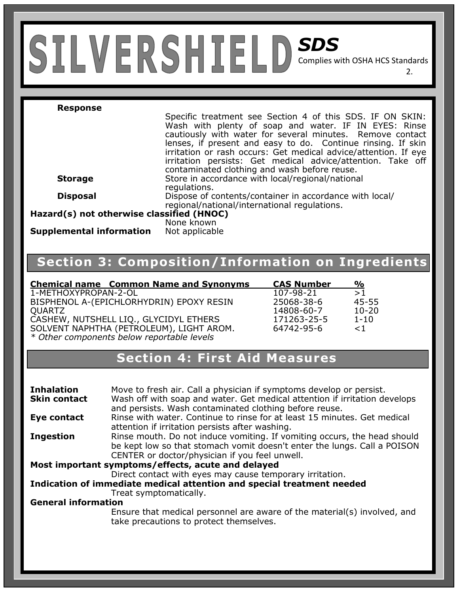# *SDS*

Complies with OSHA HCS Standards

2.

#### **Response**

Specific treatment see Section 4 of this SDS. IF ON SKIN: Wash with plenty of soap and water. IF IN EYES: Rinse cautiously with water for several minutes. Remove contact lenses, if present and easy to do. Continue rinsing. If skin irritation or rash occurs: Get medical advice/attention. If eye irritation persists: Get medical advice/attention. Take off contaminated clothing and wash before reuse. **Storage** Store in accordance with local/regional/national regulations. **Disposal Dispose of contents/container in accordance with local/** regional/national/international regulations.

**Hazard(s) not otherwise classified (HNOC)**

**Supplemental information** 

None known<br>Not applicable

## **Section 3: Composition/Information on Ingredients**

**Chemical name Common Name and Synonyms CAS Number %**  1-METHOXYPROPAN-2-OL 107-98-21 >1 BISPHENOL A-(EPICHLORHYDRIN) EPOXY RESIN QUARTZ 14808-60-7 10-20 CASHEW, NUTSHELL LIQ., GLYCIDYL ETHERS SOLVENT NAPHTHA (PETROLEUM), LIGHT AROM. *\* Other components below reportable levels*

| <b>CAS Number</b> | %         |
|-------------------|-----------|
| 107-98-21         | >1        |
| 25068-38-6        | 45-55     |
| 14808-60-7        | $10 - 20$ |
| 171263-25-5       | 1-10      |
| 64742-95-6        | $<$ 1 $<$ |
|                   |           |

## **Section 4: First Aid Measures**

| <b>Inhalation</b><br><b>Skin contact</b>           | Move to fresh air. Call a physician if symptoms develop or persist.<br>Wash off with soap and water. Get medical attention if irritation develops<br>and persists. Wash contaminated clothing before reuse. |  |
|----------------------------------------------------|-------------------------------------------------------------------------------------------------------------------------------------------------------------------------------------------------------------|--|
| Eye contact                                        | Rinse with water. Continue to rinse for at least 15 minutes. Get medical                                                                                                                                    |  |
|                                                    | attention if irritation persists after washing.                                                                                                                                                             |  |
| <b>Ingestion</b>                                   | Rinse mouth. Do not induce vomiting. If vomiting occurs, the head should<br>be kept low so that stomach vomit doesn't enter the lungs. Call a POISON                                                        |  |
|                                                    | CENTER or doctor/physician if you feel unwell.                                                                                                                                                              |  |
| Most important symptoms/effects, acute and delayed |                                                                                                                                                                                                             |  |
|                                                    | Direct contact with eyes may cause temporary irritation.                                                                                                                                                    |  |
|                                                    | Indication of immediate medical attention and special treatment needed                                                                                                                                      |  |
|                                                    | Treat symptomatically.                                                                                                                                                                                      |  |
| <b>General information</b>                         |                                                                                                                                                                                                             |  |
|                                                    | Ensure that medical personnel are aware of the material(s) involved, and<br>take precautions to protect themselves.                                                                                         |  |
|                                                    |                                                                                                                                                                                                             |  |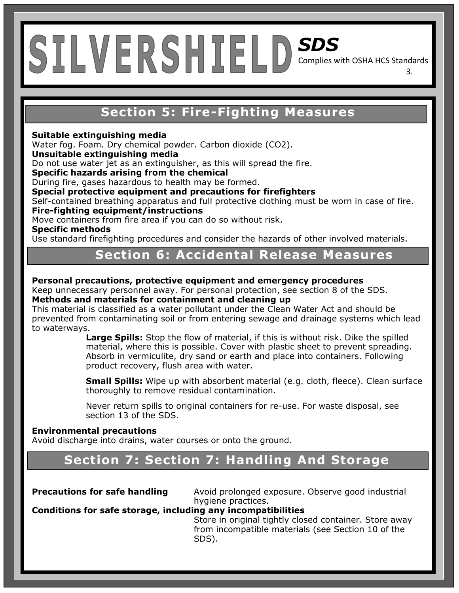## **Section 5: Fire-Fighting Measures**

3.

#### **Suitable extinguishing media**

Water fog. Foam. Dry chemical powder. Carbon dioxide (CO2).

#### **Unsuitable extinguishing media**

Do not use water jet as an extinguisher, as this will spread the fire.

**Specific hazards arising from the chemical** 

During fire, gases hazardous to health may be formed.

**Special protective equipment and precautions for firefighters** 

Self-contained breathing apparatus and full protective clothing must be worn in case of fire. **Fire-fighting equipment/instructions** 

Move containers from fire area if you can do so without risk.

**Specific methods** 

Use standard firefighting procedures and consider the hazards of other involved materials.

## **Section 6: Accidental Release Measures**

### **Personal precautions, protective equipment and emergency procedures**

Keep unnecessary personnel away. For personal protection, see section 8 of the SDS. **Methods and materials for containment and cleaning up** 

This material is classified as a water pollutant under the Clean Water Act and should be prevented from contaminating soil or from entering sewage and drainage systems which lead to waterways.

**Large Spills:** Stop the flow of material, if this is without risk. Dike the spilled material, where this is possible. Cover with plastic sheet to prevent spreading. Absorb in vermiculite, dry sand or earth and place into containers. Following product recovery, flush area with water.

**Small Spills:** Wipe up with absorbent material (e.g. cloth, fleece). Clean surface thoroughly to remove residual contamination.

Never return spills to original containers for re-use. For waste disposal, see section 13 of the SDS.

#### **Environmental precautions**

Avoid discharge into drains, water courses or onto the ground.

## **Section 7: Section 7: Handling And Storage**

**Precautions for safe handling** Avoid prolonged exposure. Observe good industrial hygiene practices.

## **Conditions for safe storage, including any incompatibilities**

 Store in original tightly closed container. Store away from incompatible materials (see Section 10 of the SDS).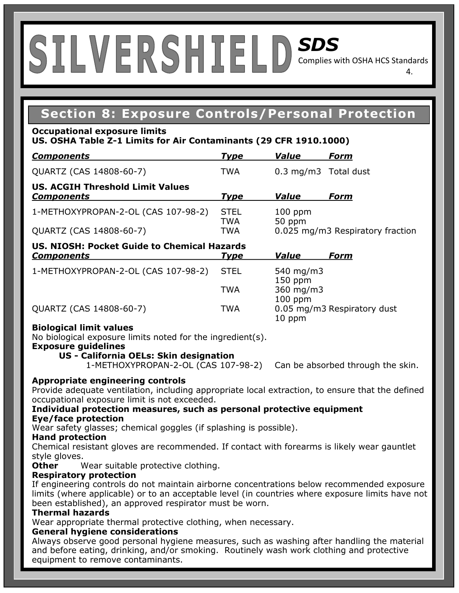## **Section 8: Exposure Controls/Personal Protection**

#### **Occupational exposure limits**

### **US. OSHA Table Z-1 Limits for Air Contaminants (29 CFR 1910.1000)**

| <b>Components</b>                                            | <b>Type</b>        | <b>Value</b>         | Form                             |
|--------------------------------------------------------------|--------------------|----------------------|----------------------------------|
| QUARTZ (CAS 14808-60-7)                                      | <b>TWA</b>         | 0.3 mg/m3 Total dust |                                  |
| <b>US. ACGIH Threshold Limit Values</b><br><b>Components</b> | <b>Type</b>        | <b>Value</b>         | Form                             |
| 1-METHOXYPROPAN-2-OL (CAS 107-98-2)                          | <b>STEL</b><br>TWA | $100$ ppm<br>50 ppm  |                                  |
| QUARTZ (CAS 14808-60-7)                                      | <b>TWA</b>         |                      | 0.025 mg/m3 Respiratory fraction |
| <b>IIS NIOSH: Docket Guide to Chemical Hazards</b>           |                    |                      |                                  |

| <b>Components</b>                   | <b>Type</b> | Value                  | Form                        |
|-------------------------------------|-------------|------------------------|-----------------------------|
| 1-METHOXYPROPAN-2-OL (CAS 107-98-2) | <b>STEL</b> | 540 mg/m3<br>$150$ ppm |                             |
|                                     | TWA         | 360 mg/m3<br>$100$ ppm |                             |
| QUARTZ (CAS 14808-60-7)             | TWA         | $10$ ppm               | 0.05 mg/m3 Respiratory dust |

#### **Biological limit values**

No biological exposure limits noted for the ingredient(s).

**Exposure guidelines** 

## **US - California OELs: Skin designation**

1-METHOXYPROPAN-2-OL (CAS 107-98-2) Can be absorbed through the skin.

## **Appropriate engineering controls**

Provide adequate ventilation, including appropriate local extraction, to ensure that the defined occupational exposure limit is not exceeded.

#### **Individual protection measures, such as personal protective equipment Eye/face protection**

Wear safety glasses; chemical goggles (if splashing is possible).

#### **Hand protection**

Chemical resistant gloves are recommended. If contact with forearms is likely wear gauntlet style gloves.

**Other** Wear suitable protective clothing.

## **Respiratory protection**

If engineering controls do not maintain airborne concentrations below recommended exposure limits (where applicable) or to an acceptable level (in countries where exposure limits have not been established), an approved respirator must be worn.

## **Thermal hazards**

Wear appropriate thermal protective clothing, when necessary.

## **General hygiene considerations**

Always observe good personal hygiene measures, such as washing after handling the material and before eating, drinking, and/or smoking. Routinely wash work clothing and protective equipment to remove contaminants.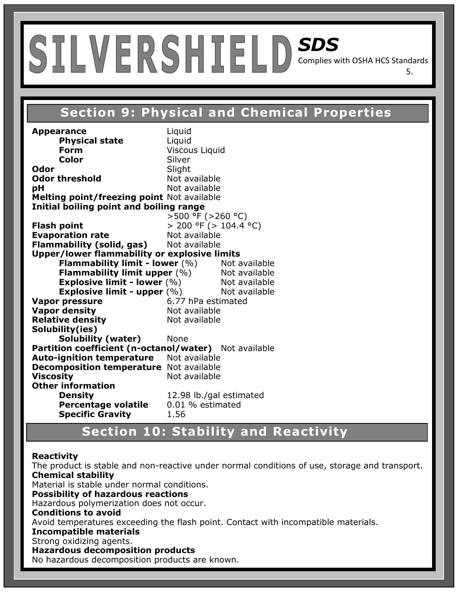## **Section8: Exposure Controls/Personal Protection Section 9: Physical and Chemical Properties**

5.

**Appearance** Liquid **Physical state** Liquid **Form Viscous Liquid Color** Silver **Odor** Slight **Odor threshold** Not available **pH** Not available **Melting point/freezing point** Not available **Initial boiling point and boiling range**   $>500$  °F ( $>260$  °C) **Flash point**  $> 200 \text{ °F}$  ( $> 104.4 \text{ °C}$ ) **Evaporation rate Not available Flammability (solid, gas)** Not available **Upper/lower flammability or explosive limits Flammability limit - lower** (%) Not available **Flammability limit upper** (%) Not available **Explosive limit - lower** (%) Not available **Explosive limit - upper**  $(\%)$  Not available **Vapor pressure** 6.77 hPa estimated **Vapor density Not available Relative density Not available Solubility(ies) Solubility (water)** None **Partition coefficient (n-octanol/water)** Not available **Auto-ignition temperature** Not available **Decomposition temperature** Not available **Viscosity Not available Other information Density 12.98 lb./gal estimated**<br>**Percentage volatile** 0.01 % estimated **Percentage volatile Specific Gravity** 1.56

## **Section 10: Stability and Reactivity**

#### **Reactivity**

The product is stable and non-reactive under normal conditions of use, storage and transport. **Chemical stability**  Material is stable under normal conditions.

**Possibility of hazardous reactions** 

Hazardous polymerization does not occur.

### **Conditions to avoid**

Avoid temperatures exceeding the flash point. Contact with incompatible materials.

#### **Incompatible materials**

Strong oxidizing agents.

#### **Hazardous decomposition products**

No hazardous decomposition products are known.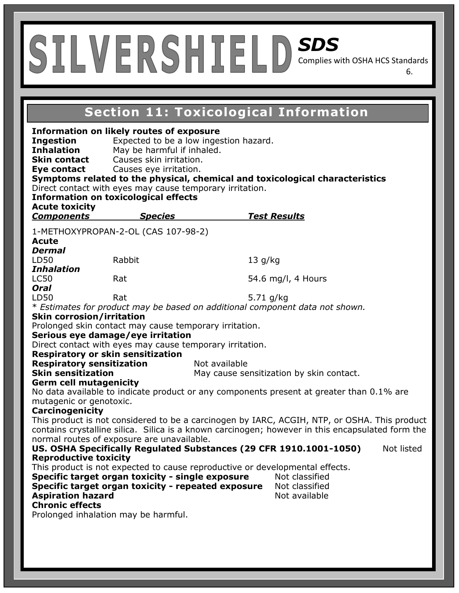## SILVERSHIELD *SDS*  Complies with OSHA HCS Standards

**Section8: Exposure Controls/Personal Protection Section 11: Toxicological Information**

6.

| <b>Ingestion</b><br><b>Inhalation</b><br><b>Skin contact</b><br>Eye contact<br><b>Acute toxicity</b><br><b>Components</b>                                                                        | <b>Information on likely routes of exposure</b><br>Expected to be a low ingestion hazard.<br>May be harmful if inhaled.<br>Causes skin irritation.<br>Causes eye irritation.<br>Direct contact with eyes may cause temporary irritation.<br><b>Information on toxicological effects</b><br><b>Species</b> |               | Symptoms related to the physical, chemical and toxicological characteristics<br><u>Test Results</u> |            |
|--------------------------------------------------------------------------------------------------------------------------------------------------------------------------------------------------|-----------------------------------------------------------------------------------------------------------------------------------------------------------------------------------------------------------------------------------------------------------------------------------------------------------|---------------|-----------------------------------------------------------------------------------------------------|------------|
|                                                                                                                                                                                                  | 1-METHOXYPROPAN-2-OL (CAS 107-98-2)                                                                                                                                                                                                                                                                       |               |                                                                                                     |            |
| <b>Acute</b>                                                                                                                                                                                     |                                                                                                                                                                                                                                                                                                           |               |                                                                                                     |            |
| <b>Dermal</b>                                                                                                                                                                                    |                                                                                                                                                                                                                                                                                                           |               |                                                                                                     |            |
| LD50                                                                                                                                                                                             | Rabbit                                                                                                                                                                                                                                                                                                    | 13 g/kg       |                                                                                                     |            |
| <b>Inhalation</b>                                                                                                                                                                                |                                                                                                                                                                                                                                                                                                           |               |                                                                                                     |            |
| <b>LC50</b><br><b>Oral</b>                                                                                                                                                                       | Rat                                                                                                                                                                                                                                                                                                       |               | 54.6 mg/l, 4 Hours                                                                                  |            |
| LD50                                                                                                                                                                                             | Rat                                                                                                                                                                                                                                                                                                       | 5.71 $q/kg$   |                                                                                                     |            |
|                                                                                                                                                                                                  | * Estimates for product may be based on additional component data not shown.                                                                                                                                                                                                                              |               |                                                                                                     |            |
| <b>Skin corrosion/irritation</b>                                                                                                                                                                 |                                                                                                                                                                                                                                                                                                           |               |                                                                                                     |            |
|                                                                                                                                                                                                  | Prolonged skin contact may cause temporary irritation.                                                                                                                                                                                                                                                    |               |                                                                                                     |            |
| Serious eye damage/eye irritation                                                                                                                                                                |                                                                                                                                                                                                                                                                                                           |               |                                                                                                     |            |
| <b>Respiratory or skin sensitization</b>                                                                                                                                                         | Direct contact with eyes may cause temporary irritation.                                                                                                                                                                                                                                                  |               |                                                                                                     |            |
| <b>Respiratory sensitization</b>                                                                                                                                                                 |                                                                                                                                                                                                                                                                                                           | Not available |                                                                                                     |            |
| <b>Skin sensitization</b>                                                                                                                                                                        |                                                                                                                                                                                                                                                                                                           |               | May cause sensitization by skin contact.                                                            |            |
| <b>Germ cell mutagenicity</b>                                                                                                                                                                    |                                                                                                                                                                                                                                                                                                           |               |                                                                                                     |            |
|                                                                                                                                                                                                  |                                                                                                                                                                                                                                                                                                           |               | No data available to indicate product or any components present at greater than 0.1% are            |            |
| mutagenic or genotoxic.                                                                                                                                                                          |                                                                                                                                                                                                                                                                                                           |               |                                                                                                     |            |
| <b>Carcinogenicity</b>                                                                                                                                                                           |                                                                                                                                                                                                                                                                                                           |               |                                                                                                     |            |
| This product is not considered to be a carcinogen by IARC, ACGIH, NTP, or OSHA. This product<br>contains crystalline silica. Silica is a known carcinogen; however in this encapsulated form the |                                                                                                                                                                                                                                                                                                           |               |                                                                                                     |            |
|                                                                                                                                                                                                  | normal routes of exposure are unavailable.                                                                                                                                                                                                                                                                |               |                                                                                                     |            |
|                                                                                                                                                                                                  | US. OSHA Specifically Regulated Substances (29 CFR 1910.1001-1050)                                                                                                                                                                                                                                        |               |                                                                                                     | Not listed |
| <b>Reproductive toxicity</b>                                                                                                                                                                     |                                                                                                                                                                                                                                                                                                           |               |                                                                                                     |            |
|                                                                                                                                                                                                  | This product is not expected to cause reproductive or developmental effects.                                                                                                                                                                                                                              |               |                                                                                                     |            |
|                                                                                                                                                                                                  | Specific target organ toxicity - single exposure                                                                                                                                                                                                                                                          |               | Not classified                                                                                      |            |
|                                                                                                                                                                                                  | Specific target organ toxicity - repeated exposure                                                                                                                                                                                                                                                        |               | Not classified                                                                                      |            |
| <b>Aspiration hazard</b>                                                                                                                                                                         |                                                                                                                                                                                                                                                                                                           |               | Not available                                                                                       |            |
| <b>Chronic effects</b><br>Prolonged inhalation may be harmful.                                                                                                                                   |                                                                                                                                                                                                                                                                                                           |               |                                                                                                     |            |
|                                                                                                                                                                                                  |                                                                                                                                                                                                                                                                                                           |               |                                                                                                     |            |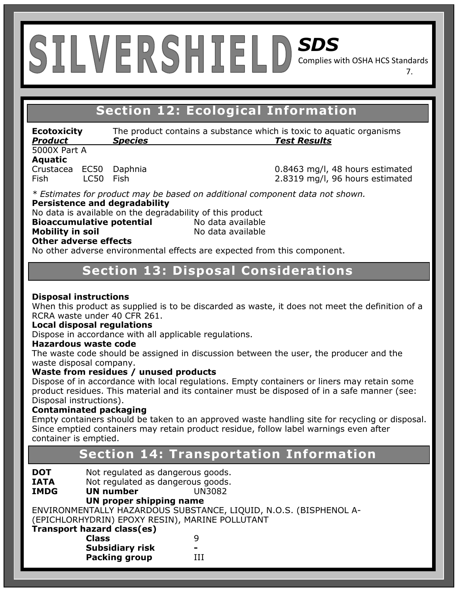**Section8: Exposure Controls/Personal Protection Section 12: Ecological Information**

**Ecotoxicity** The product contains a substance which is toxic to aquatic organisms *Product Species Test Results* 

5000X Part A **Aquatic** 

Crustacea EC50 Daphnia 0.8463 mg/l, 48 hours estimated Fish LC50 Fish 2.8319 mg/l, 96 hours estimated

7.

*\* Estimates for product may be based on additional component data not shown.*  **Persistence and degradability** 

No data is available on the degradability of this product

**Bioaccumulative potential** Mo data available **Mobility in soil No data available Other adverse effects** 

No other adverse environmental effects are expected from this component.

## **Section 13: Disposal Considerations**

## **Disposal instructions**

When this product as supplied is to be discarded as waste, it does not meet the definition of a RCRA waste under 40 CFR 261.

## **Local disposal regulations**

Dispose in accordance with all applicable regulations.

#### **Hazardous waste code**

The waste code should be assigned in discussion between the user, the producer and the waste disposal company.

## **Waste from residues / unused products**

Dispose of in accordance with local regulations. Empty containers or liners may retain some product residues. This material and its container must be disposed of in a safe manner (see: Disposal instructions).

## **Contaminated packaging**

Empty containers should be taken to an approved waste handling site for recycling or disposal. Since emptied containers may retain product residue, follow label warnings even after container is emptied.

## **Section 14: Transportation Information**

**DOT** Not regulated as dangerous goods.<br> **IATA** Not regulated as dangerous goods.

- 
- **IATA** Not regulated as dangerous goods.<br> **IMDG UN number** UN3082 **IM number** UN3082

## **UN proper shipping name**

ENVIRONMENTALLY HAZARDOUS SUBSTANCE, LIQUID, N.O.S. (BISPHENOL A- (EPICHLORHYDRIN) EPOXY RESIN), MARINE POLLUTANT

| Transport hazard class(es) |   |  |
|----------------------------|---|--|
| <b>Class</b>               | q |  |
| <b>Subsidiary risk</b>     | - |  |
| <b>Packing group</b>       | Ħ |  |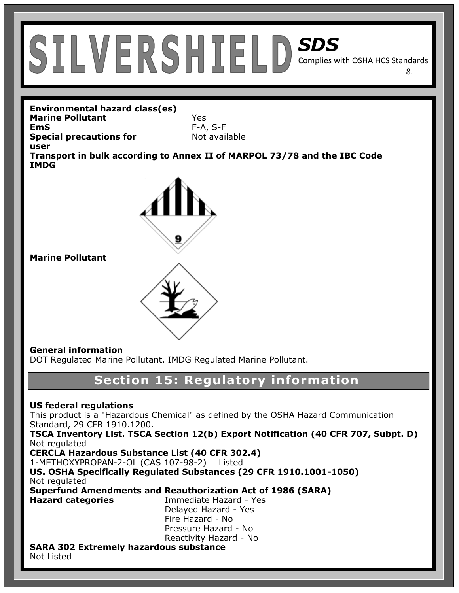8.

**Environmental hazard class(es) Marine Pollutant** Yes **EmS** F-A, S-F **Special precautions for** Not available **user Transport in bulk according to Annex II of MARPOL 73/78 and the IBC Code IMDG**



**Marine Pollutant**

## **General information**

DOT Regulated Marine Pollutant. IMDG Regulated Marine Pollutant.

## **Section 15: Regulatory information**

## **US federal regulations**

This product is a "Hazardous Chemical" as defined by the OSHA Hazard Communication Standard, 29 CFR 1910.1200.

**TSCA Inventory List. TSCA Section 12(b) Export Notification (40 CFR 707, Subpt. D)** Not regulated

**CERCLA Hazardous Substance List (40 CFR 302.4)** 

1-METHOXYPROPAN-2-OL (CAS 107-98-2) Listed

**US. OSHA Specifically Regulated Substances (29 CFR 1910.1001-1050)**  Not regulated

**Superfund Amendments and Reauthorization Act of 1986 (SARA)** 

**Hazard categories** Immediate Hazard - Yes Delayed Hazard - Yes Fire Hazard - No Pressure Hazard - No Reactivity Hazard - No

#### **SARA 302 Extremely hazardous substance**  Not Listed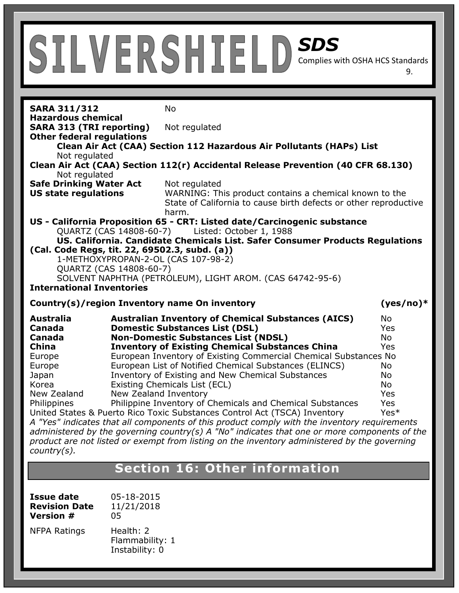**SARA 311/312** No **Hazardous chemical SARA 313 (TRI reporting)** Not regulated **Other federal regulations Clean Air Act (CAA) Section 112 Hazardous Air Pollutants (HAPs) List**  Not regulated **Clean Air Act (CAA) Section 112(r) Accidental Release Prevention (40 CFR 68.130)**  Not regulated **Safe Drinking Water Act** Not regulated **US state regulations** WARNING: This product contains a chemical known to the State of California to cause birth defects or other reproductive harm. **US - California Proposition 65 - CRT: Listed date/Carcinogenic substance**  QUARTZ (CAS 14808-60-7) Listed: October 1, 1988 **US. California. Candidate Chemicals List. Safer Consumer Products Regulations (Cal. Code Regs, tit. 22, 69502.3, subd. (a))**  1-METHOXYPROPAN-2-OL (CAS 107-98-2) QUARTZ (CAS 14808-60-7) SOLVENT NAPHTHA (PETROLEUM), LIGHT AROM. (CAS 64742-95-6) **International Inventories Country(s)/region Inventory name On inventory (yes/no)\* Australia Australian Inventory of Chemical Substances (AICS)** No **Canada Domestic Substances List (DSL)** Yes **Canada Non-Domestic Substances List (NDSL)** No **China Inventory of Existing Chemical Substances China** Yes Europe European Inventory of Existing Commercial Chemical Substances No Europe European List of Notified Chemical Substances (ELINCS) No Japan Inventory of Existing and New Chemical Substances No Korea Existing Chemicals List (ECL) No New Zealand New Zealand Inventory New Yessex Allen New Yes Philippines Philippine Inventory of Chemicals and Chemical Substances Yes United States & Puerto Rico Toxic Substances Control Act (TSCA) Inventory Yes\* *A "Yes" indicates that all components of this product comply with the inventory requirements administered by the governing country(s) A "No" indicates that one or more components of the product are not listed or exempt from listing on the inventory administered by the governing country(s).* 

9.

## **Section 16: Other information**

| Issue date           | 05-18-2015                                     |
|----------------------|------------------------------------------------|
| <b>Revision Date</b> | 11/21/2018                                     |
| <b>Version #</b>     | 05                                             |
| NFPA Ratings         | Health: 2<br>Flammability: 1<br>Instability: 0 |